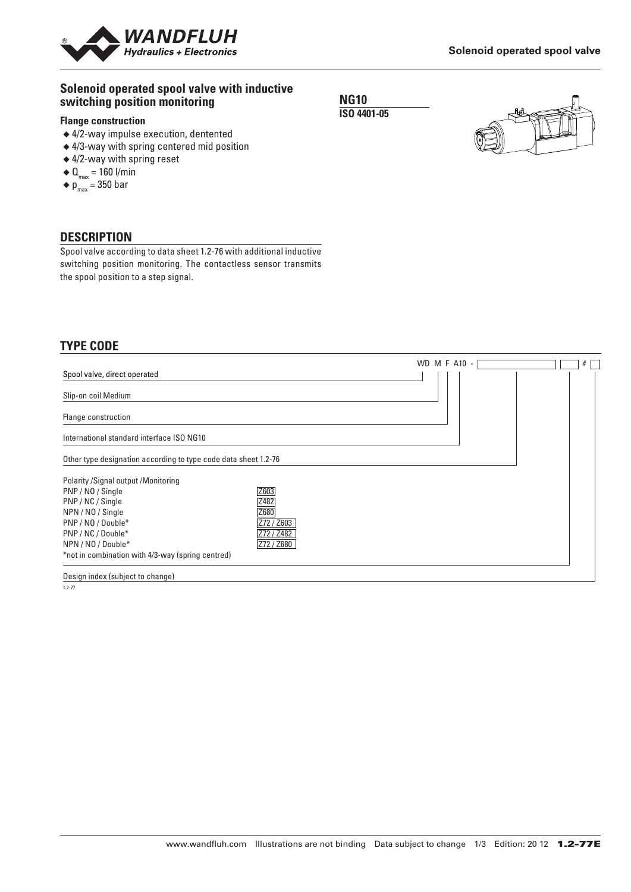

## **Solenoid operated spool valve with inductive switching position monitoring**

#### **Flange construction**

- ◆ 4/2-way impulse execution, dentented
- ◆ 4/3-way with spring centered mid position
- ◆ 4/2-way with spring reset
- $\blacklozenge \mathbf{0}_{\text{max}} = 160 \text{ I/min}$
- $\blacklozenge$  p<sub>max</sub> = 350 bar

### **DESCRIPTION**

Spool valve according to data sheet 1.2-76 with additional inductive switching position monitoring. The contactless sensor transmits the spool position to a step signal.

## **TYPE CODE**

|                                                                 | WD M F A10 - | # |
|-----------------------------------------------------------------|--------------|---|
| Spool valve, direct operated                                    |              |   |
| Slip-on coil Medium                                             |              |   |
| Flange construction                                             |              |   |
| International standard interface ISO NG10                       |              |   |
| Other type designation according to type code data sheet 1.2-76 |              |   |
| Polarity / Signal output / Monitoring                           |              |   |
| Z603<br>PNP/NO/Single                                           |              |   |
| Z482<br>PNP / NC / Single                                       |              |   |
| Z680<br>NPN / NO / Single                                       |              |   |
| PNP / NO / Double*<br>Z72 / Z603                                |              |   |
| PNP / NC / Double*<br>Z72 / Z482                                |              |   |
| Z72 / Z680<br>NPN / NO / Double*                                |              |   |
| *not in combination with 4/3-way (spring centred)               |              |   |
|                                                                 |              |   |

Design index (subject to change)

1.2-77

**NG10**

**ISO 4401-05**

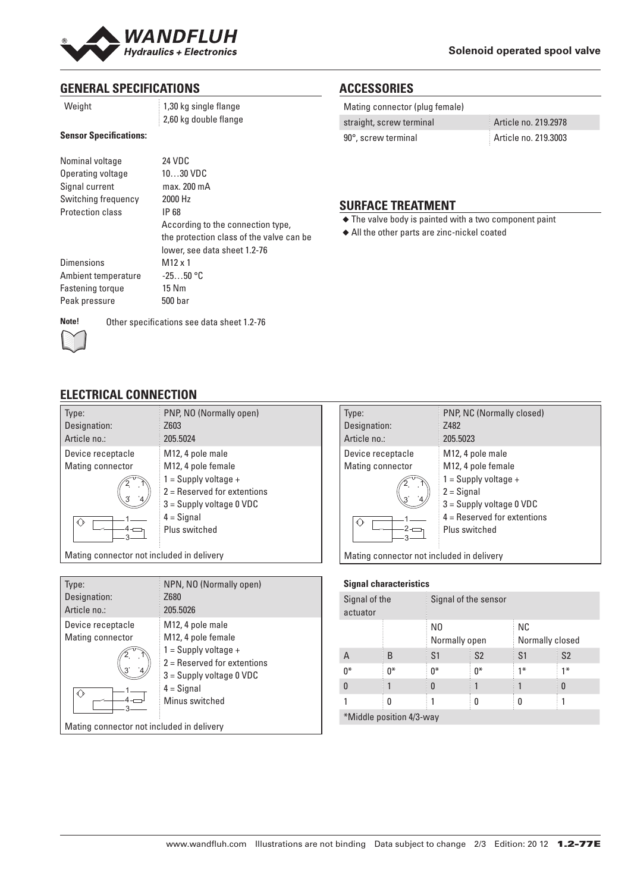

# **GENERAL SPECIFICATIONS**

1,30 kg single flange 2,60 kg double flange

### **Sensor Specifications:**

| Nominal voltage         | 24 VDC                                   |
|-------------------------|------------------------------------------|
| Operating voltage       | $1030$ VDC                               |
| Signal current          | max. 200 mA                              |
| Switching frequency     | 2000 Hz                                  |
| <b>Protection class</b> | IP 68                                    |
|                         | According to the connection type,        |
|                         | the protection class of the valve can be |
|                         | lower, see data sheet 1.2-76             |
| <b>Dimensions</b>       | $M12 \times 1$                           |
| Ambient temperature     | $-2550$ °C                               |
| Fastening torque        | 15 Nm                                    |
| Peak pressure           | 500 <sub>bar</sub>                       |
|                         |                                          |

**ACCESSORIES**

| Mating connector (plug female) |                      |
|--------------------------------|----------------------|
| straight, screw terminal       | Article no. 219.2978 |
| 90°, screw terminal            | Article no. 219.3003 |

## **SURFACE TREATMENT**

- ◆ The valve body is painted with a two component paint
- ◆ All the other parts are zinc-nickel coated



## **ELECTRICAL CONNECTION**

| Type:<br>Designation:<br>Article no.: | PNP, NO (Normally open)<br>Z603<br>205.5024                                                                          |
|---------------------------------------|----------------------------------------------------------------------------------------------------------------------|
| Device receptacle                     | M12, 4 pole male                                                                                                     |
| Mating connector                      | M12, 4 pole female                                                                                                   |
|                                       | $1 =$ Supply voltage +<br>2 = Reserved for extentions<br>$3 =$ Supply voltage 0 VDC<br>$4 =$ Signal<br>Plus switched |
|                                       |                                                                                                                      |

Mating connector not included in delivery

| Type:                                     | NPN, NO (Normally open)       |  |  |
|-------------------------------------------|-------------------------------|--|--|
| Designation:                              | Z680                          |  |  |
| Article no.:                              | 205.5026                      |  |  |
| Device receptacle                         | M12, 4 pole male              |  |  |
| Mating connector                          | M12, 4 pole female            |  |  |
|                                           | $1 =$ Supply voltage +        |  |  |
|                                           | $2 =$ Reserved for extentions |  |  |
|                                           | $3 =$ Supply voltage 0 VDC    |  |  |
|                                           | $4 =$ Signal                  |  |  |
|                                           | Minus switched                |  |  |
| Mating connector not included in delivery |                               |  |  |



#### **Signal characteristics**

| Signal of the<br>actuator |    | Signal of the sensor            |                |                        |                |
|---------------------------|----|---------------------------------|----------------|------------------------|----------------|
|                           |    | N <sub>0</sub><br>Normally open |                | NC.<br>Normally closed |                |
| Α                         | B  | S1                              | S <sub>2</sub> | S1                     | S <sub>2</sub> |
| n*                        | n* | $0*$                            | $0^*$          | $1*$                   | $1*$           |
| 0                         |    | 0                               |                |                        | 0              |
|                           | 0  |                                 |                | 0                      |                |

\*Middle position 4/3-way